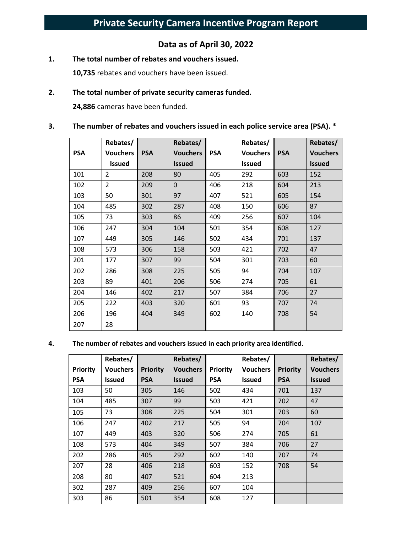# **Data as of April 30, 2022**

**1. The total number of rebates and vouchers issued.** 

**10,735** rebates and vouchers have been issued.

#### **2. The total number of private security cameras funded.**

**24,886** cameras have been funded.

#### **3. The number of rebates and vouchers issued in each police service area (PSA). \***

|            | Rebates/        |            | Rebates/      |            | Rebates/        |            | Rebates/        |
|------------|-----------------|------------|---------------|------------|-----------------|------------|-----------------|
| <b>PSA</b> | <b>Vouchers</b> | <b>PSA</b> | Vouchers      | <b>PSA</b> | <b>Vouchers</b> | <b>PSA</b> | <b>Vouchers</b> |
|            | <b>Issued</b>   |            | <b>Issued</b> |            | <b>Issued</b>   |            | <b>Issued</b>   |
| 101        | $\overline{2}$  | 208        | 80            | 405        | 292             | 603        | 152             |
| 102        | $\overline{2}$  | 209        | 0             | 406        | 218             | 604        | 213             |
| 103        | 50              | 301        | 97            | 407        | 521             | 605        | 154             |
| 104        | 485             | 302        | 287           | 408        | 150             | 606        | 87              |
| 105        | 73              | 303        | 86            | 409        | 256             | 607        | 104             |
| 106        | 247             | 304        | 104           | 501        | 354             | 608        | 127             |
| 107        | 449             | 305        | 146           | 502        | 434             | 701        | 137             |
| 108        | 573             | 306        | 158           | 503        | 421             | 702        | 47              |
| 201        | 177             | 307        | 99            | 504        | 301             | 703        | 60              |
| 202        | 286             | 308        | 225           | 505        | 94              | 704        | 107             |
| 203        | 89              | 401        | 206           | 506        | 274             | 705        | 61              |
| 204        | 146             | 402        | 217           | 507        | 384             | 706        | 27              |
| 205        | 222             | 403        | 320           | 601        | 93              | 707        | 74              |
| 206        | 196             | 404        | 349           | 602        | 140             | 708        | 54              |
| 207        | 28              |            |               |            |                 |            |                 |

#### **4. The number of rebates and vouchers issued in each priority area identified.**

|                 | Rebates/        |                 | Rebates/        |          | Rebates/        |                 | Rebates/        |
|-----------------|-----------------|-----------------|-----------------|----------|-----------------|-----------------|-----------------|
| <b>Priority</b> | <b>Vouchers</b> | <b>Priority</b> | <b>Vouchers</b> | Priority | <b>Vouchers</b> | <b>Priority</b> | <b>Vouchers</b> |
| <b>PSA</b>      | <b>Issued</b>   | <b>PSA</b>      | <b>Issued</b>   | PSA      | <b>Issued</b>   | <b>PSA</b>      | <b>Issued</b>   |
| 103             | 50              | 305             | 146             | 502      | 434             | 701             | 137             |
| 104             | 485             | 307             | 99              | 503      | 421             | 702             | 47              |
| 105             | 73              | 308             | 225             | 504      | 301             | 703             | 60              |
| 106             | 247             | 402             | 217             | 505      | 94              | 704             | 107             |
| 107             | 449             | 403             | 320             | 506      | 274             | 705             | 61              |
| 108             | 573             | 404             | 349             | 507      | 384             | 706             | 27              |
| 202             | 286             | 405             | 292             | 602      | 140             | 707             | 74              |
| 207             | 28              | 406             | 218             | 603      | 152             | 708             | 54              |
| 208             | 80              | 407             | 521             | 604      | 213             |                 |                 |
| 302             | 287             | 409             | 256             | 607      | 104             |                 |                 |
| 303             | 86              | 501             | 354             | 608      | 127             |                 |                 |